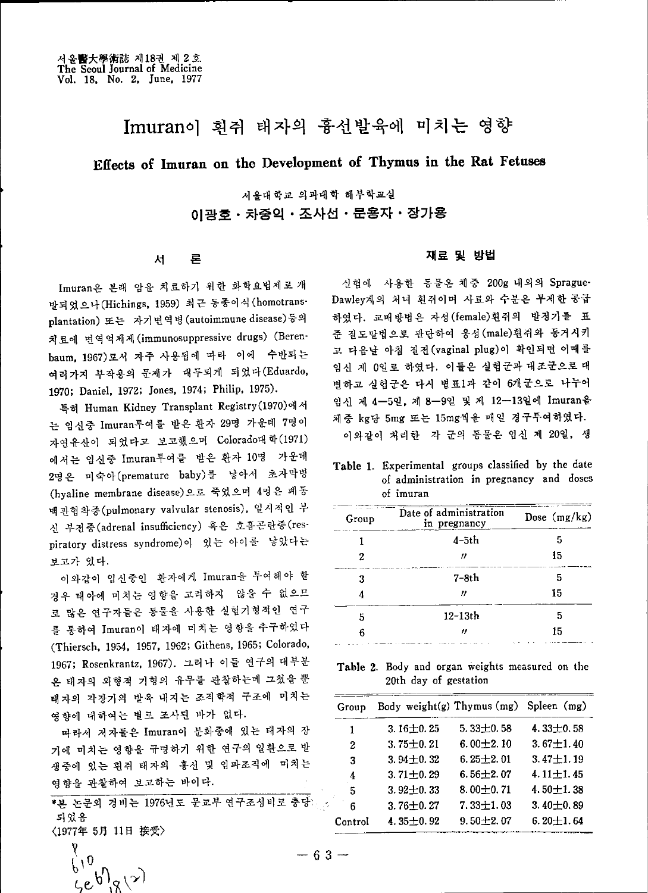# Imuran이 휘쥐 태자의 휴선발육에 미치는 영향

## Effects of Imuran on the Development of Thymus in the Rat Fetuses

서울대학교 의과대학 해부학교실 이광호 · 차중의 · 조사선 · 문용자 · 장가용

#### 론 서

Imuran은 본래 암을 치료하기 위한 화학요법제로 개 발되었으나(Hichings, 1959) 최근 동종이식(homotransplantation) 또는 자기면역병 (autoimmune disease)등의 치료에 면역억제제 (immunosuppressive drugs) (Berenbaum, 1967)로서 자주 사용됨에 따라 이에 수반되는 여러가지 부작용의 문제가 대두되게 되었다(Eduardo, 1970; Daniel, 1972; Jones, 1974; Philip, 1975).

특히 Human Kidney Transplant Registry (1970)에서 는 임신중 Imuran투여를 받은 환자 29명 가운데 7명이 자연유산이 되었다고 보고했으며 Colorado대학(1971) 에서는 임신중 Imuran투여를 받은 환자 10명 가운데 2명은 미숙아(premature baby)를 낳아서 초자막병 (hyaline membrane disease)으로 죽었으며 4명은 폐동 맥판협착중(pulmonary valvular stenosis), 일시적인 부 신 부전중(adrenal insufficiency) 혹은 호흡곤란중(respiratory distress syndrome)이 있는 아이를 낳았다는 보고가 있다.

이와같이 임신중인 환자에게 Imuran을 투여해야 할 경우 태아에 미치는 영향을 고려하지 않을 수 없으므 로 많은 연구자들은 동물을 사용한 실험기형적인 연구 를 통하여 Imuran이 태자에 미치는 영향을 추구하였다 (Thiersch, 1954, 1957, 1962; Githens, 1965; Colorado, 1967; Rosenkrantz, 1967). 그러나 이들 연구의 대부분 은 태자의 외형적 기형의 유무를 관찰하는데 그쳤을 뿐 태자의 각장기의 발육 내지는 조직학적 구조에 미치는 영향에 대하여는 별로 조사된 바가 없다.

따라서 저자들은 Imuran이 분화중에 있는 태자의 장 기에 미치는 영향을 규명하기 위한 연구의 일환으로 발 생중에 있는 횐쥐 태자의 흉선 및 임파조직에 미치는 영향을 관찰하여 보고하는 바이다.

\*본 논문의 경비는 1976년도 문교부 연구조성비로 충당 되었음 〈1977年 5月 11日 接受〉  $610$ 

 $\int_{\alpha}^{c} \rho \rho^{\prime\prime} \, d\lambda$ 

### 재료 및 방법

실험에 사용한 동물은 체중 200g 내외의 Sprague-Dawley계의 처녀 횐쥐이며 사료와 수분은 무제한 공급 하였다. 교배방법은 자성(female)횐쥐의 발정기를 표 준 질도말법으로 판단하여 웅성(male)횐쥐와 동거시키 고 다음날 아침 질전(vaginal plug)이 확인되면 이때를 임신 제 0일로 하였다. 이들은 실험군과 대조군으로 대 별하고 실험군은 다시 별표1과 같이 6개군으로 나누어 임신 제 4-5일, 제 8-9일 및 제 12-13일에 Imuran을 체중 kg당 5mg 또는 15mg씩을 매일 경구투여하였다. 이와같이 처리한 각 군의 동물은 임신 제 20일, 생

Table 1. Experimental groups classified by the date of administration in pregnancy and doses of imuran

| $4-5th$<br>2<br>11 | Dose $(mg/kg)$ |  |  |
|--------------------|----------------|--|--|
|                    | 5              |  |  |
|                    | 15             |  |  |
| $7-8th$            | 5              |  |  |
| "                  | 15             |  |  |
| $12-13th$<br>5     | 5              |  |  |
| "                  | 15             |  |  |

Table 2. Body and organ weights measured on the 20th day of gestation

| Group   | Body weight(g) Thymus (mg) Spleen (mg) |                 |                 |
|---------|----------------------------------------|-----------------|-----------------|
| 1       | 3.16 $\pm$ 0.25                        | $5.33 \pm 0.58$ | $4.33 \pm 0.58$ |
| 2       | $3.75 \pm 0.21$                        | $6.00 \pm 2.10$ | $3.67 \pm 1.40$ |
| 3       | $3.94 \pm 0.32$                        | $6.25 \pm 2.01$ | $3.47 + 1.19$   |
| 4       | $3.71 \pm 0.29$                        | $6.56 \pm 2.07$ | $4.11 \pm 1.45$ |
| 5       | 3.92 $\pm$ 0.33                        | $8.00 + 0.71$   | $4.50 + 1.38$   |
| 6       | $3.76 \pm 0.27$                        | $7.33 \pm 1.03$ | 3.40 $\pm$ 0.89 |
| Control | $4.35 \pm 0.92$                        | $9.50 + 2.07$   | $6.20 \pm 1.64$ |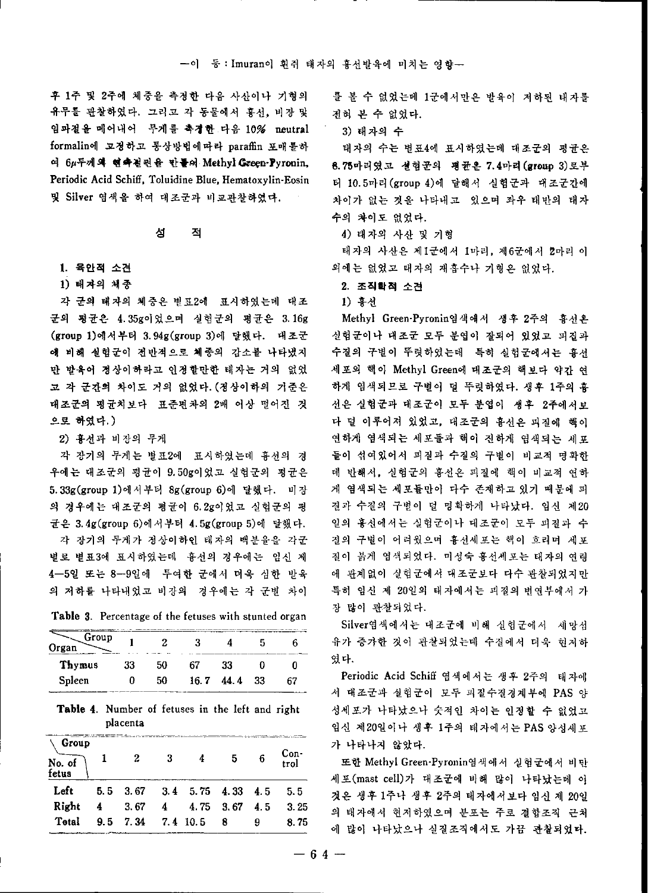후 1주 및 2주에 체중을 측정한 다음 사산이나 기형의 유무를 관찰하였다. 그리고 각 동물에서 홍선, 비장 및 임파절을 떼어내어 무게를 촉결한 다음 10% neutral formalin에 고경하고 동상방법에따라 paraffin 포매롤하 여 6µ두께의 현속절편을 만들어 Methyl Green-Pyronin, Periodic Acid Schiff, Toluidine Blue, Hematoxylin-Eosin 및 Silver 염색을 하여 대조군과 비교관찰하였다.

> 섭 적

- 1. 육안적 소견
- 1) 태자의 체중

각 군의 태자의 체중은 별표2에 표시하였는데 대조 군의 평균은 4.35g이었으며 실험군의 평균은 3.16g (group 1)에서부터 3.94g(group 3)에 달했다. 대조군 에 비해 실험군이 전반적으로 체중의 감소를 나타냈지 만 발육어 경상이하라고 인정할만한 태자는 거의 없었 고 각 군간의 차이도 거의 없었다. (정상이하의 거준은 대조군의 평균치보다 표준편차의 2배 이상 떨어진 것 으로 하였다.)

2) 흉선과 비장의 무게

각 장기의 무게는 별표2에 표시하였는데 흉선의 경 우에는 대조군의 평균이 9.50g이었고 실험군의 평균은 5.33g(group 1)에서부터 8g(group 6)에 달했다. 비장 의 경우에는 대조군의 평균이 6.2g이었고 실험군의 평 균은 3.4g(group 6)에서부터 4.5g(group 5)에 달했다. 각 장기의 무게가 정상이하인 태자의 백분율을 각군 별로 별표3에 표시하였는데 흉선의 경우에는 임신 제 4-5일 또는 8-9일에 투여한 군에서 더욱 심한 발육 의 저하를 나타내었고 비장의 경우에는 각 군별 차이

Table 3. Percentage of the fetuses with stunted organ

| roup<br>Organ |    |    |       |      |     |    |
|---------------|----|----|-------|------|-----|----|
| Thymus        | 33 | 50 | 67    | 33   |     |    |
| Spleen        |    | 50 | 16. 7 | 44.4 | -33 | 67 |

Table 4. Number of fetuses in the left and right placenta

| Group           |                                                    |                  |   |                     | the state of the component component of the state of the state and the component of the component of the component of the component of the component of the component of the component of the component of the component of th |     |                |
|-----------------|----------------------------------------------------|------------------|---|---------------------|--------------------------------------------------------------------------------------------------------------------------------------------------------------------------------------------------------------------------------|-----|----------------|
| No. of<br>fetus |                                                    | $\boldsymbol{2}$ | 3 | 4                   | $-5$                                                                                                                                                                                                                           | 6   | $Con-$<br>trol |
| Left            | 5.5                                                | 3.67             |   | $3.4$ 5.75 4.33 4.5 |                                                                                                                                                                                                                                |     | 5.5            |
| Right           | 4                                                  | 3.67             | 4 | 4.75                | 3.67                                                                                                                                                                                                                           | 4.5 | 3.25           |
| Total           | 9.5<br>the company's company's company's company's | 7.34             |   | 7.4 10.5            | 8                                                                                                                                                                                                                              | 9   | 8.75           |

를 볼 수 없었는데 1군에서만은 발육이 저하된 태자를 전혀 본 수 없었다.

3) 태자의 수

태자의 수는 별표4에 표시하였는데 대조군의 평균은 8.75마리였고 설험군의 평균은 7.4마리 (group 3)로부 터 10.5마리(group 4)에 달해서 실험군과 대조군간에 차이가 없는 것을 나타내고 있으며 좌우 태반의 태자 수의 차이도 없었다.

4) 태자의 사산 및 기형

태자의 사산은 제1군에서 1마리, 제6군에서 2마리 이 외에는 없었고 태자의 재흡수나 기형은 없었다.

2. 조직화적 소견

1) 흉선

Methyl Green-Pyronin염색에서 생후 2주의 흡선은 실험군이나 대조군 모두 분엽이 잘되어 있었고 피질과 수질의 구별이 뚜렷하였는데 특히 실험군에서는 흉선 세포의 햭이 Methyl Green에 대조군의 핵보다 약간 연 하게 염색되므로 구별이 덜 뚜렷하였다. 생후 1주의 휴 선은 실험군과 대조군이 모두 분엽이 생후 2주에서보 다 덜 이루어져 있었고, 대조군의 흉선은 피질에 핵이 연하게 염색되는 세포들과 핵이 진하게 염색되는 세포 들이 섞여있어서 피질과 수질의 구별이 비교적 명확한 데 반해서, 실험군의 흉선은 피질에 핵이 비교적 연하 게 염색되는 세포들만이 다수 존재하고 있기 때문에 피 질과 수질의 구별이 덜 명확하게 나타났다. 임신 제20 일의 흉선에서는 실험군이나 대조군이 모두 피질과 수 질의 구별이 어려웠으며 흉선세포는 핵이 흐리며 세포 질이 붉게 염색되었다. 미성숙 흉선세포는 태자의 연령 에 관계없이 실험군에서 대조군보다 다수 관찰되었지만 특히 임신 제 20일의 태자에서는 피질의 변연부에서 가 장 많이 관찰되었다.

Silver염색에서는 대조군에 비해 실험군에서 세망섬 유가 증가한 것이 관찰되었는데 수질에서 더욱 현저하 였다.

Periodic Acid Schiff 염색에서는 생후 2주의 태자에 서 대조군과 실험군이 모두 피질수질경계부에 PAS 양 성세포가 나타났으나 숫적인 차이는 인정할 수 없었고 임신 제20일이나 생후 1주의 태자에서는 PAS 양성세포 가 나타나지 않았다.

또한 Methyl Green-Pyronin염색에서 실험군에서 비만 세포(mast cell)가 대조군에 비해 많이 나타났는데 이 것은 생후 1주나 생후 2주의 태자에서보다 임신 제 20일 의 태자에서 현저하였으며 분포는 주로 결합조직 근처 에 많이 나타났으나 실질조직에서도 가끔 관찰되었다.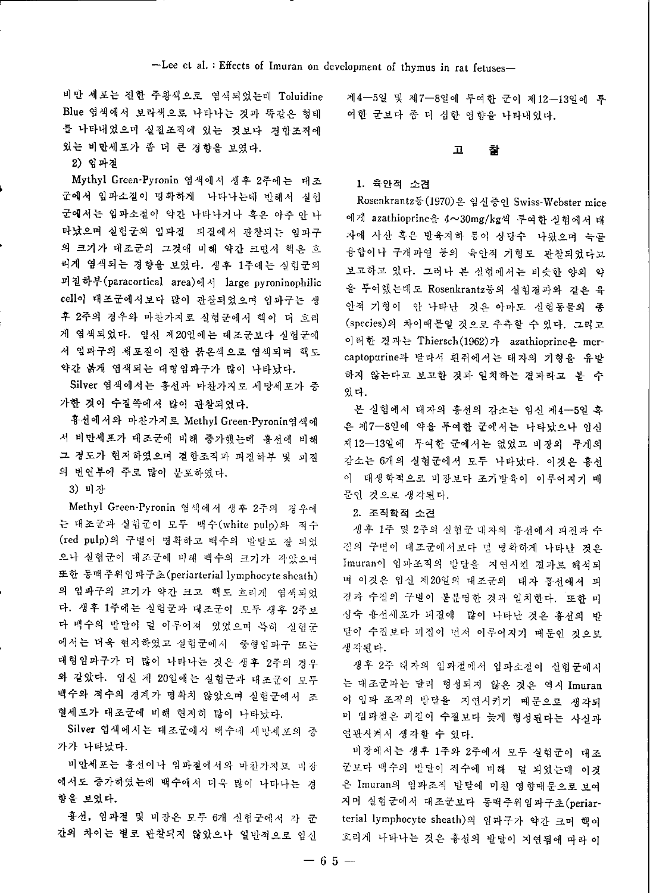비만 세포는 진한 주황색으로 염색되었는데 Toluidine Blue 염색에서 보라색으로 나타나는 것과 똑같은 형태 를 나타내었으며 실질조직에 있는 것보다 결합조직에 있는 비만세포가 좀 더 큰 경향을 보였다.

2) 임과절

Mythyl Green-Pyronin 염색에서 생후 2주에는 대조 군에서 임파소절이 명확하게 나타나는데 반해서 실험 군에서는 임파소절이 약간 나타나거나 혹은 아주 안 나 타났으며 실험군의 임파절 피질에서 관찰되는 임파구 의 크기가 대조군의 그것에 비해 약간 크면서 핵은 흐 리게 염색되는 경향을 보였다. 생후 1주에는 실험군의 피질하부(paracortical area)에서 large pyroninophilic cell이 대조군에서보다 많이 관찰되었으며 임파구는 생 후 2주의 경우와 마찬가지로 실험군에서 핵이 더 흐리 게 염색되었다. 임신 제20일에는 대조군보다 실험군에 서 임파구의 세포질이 진한 붉은색으로 염색되며 핵도 약간 붉게 염색되는 대형임파구가 많이 나타났다.

Silver 염색에서는 흉선과 마찬가지로 세망세포가 증 가한 것이 수질쪽에서 많이 관찰되었다.

흉선에서와 마찬가지로 Methyl Green–Pyronin염색에 서 비만세포가 대조군에 비해 증가했는데 흉선에 비해 그 정도가 현저하였으며 결합조직과 피질하부 및 피질 의 변연부에 주로 많이 분포하였다.

3) 비장

Methyl Green-Pyronin 염색에서 생후 2주의 경우에 는 대조군과 실험군이 모두 백수(white pulp)와 적수 (red pulp)의 구별이 명확하고 백수의 발달도 잘 되었 으나 실험군이 대조군에 비해 백수의 크기가 작았으며 또한 동맥주위임파구초(periarterial lymphocyte sheath) 의 임파구의 크기가 약간 크고 핵도 흐리게 염색되었 다. 생후 1주에는 실험군과 대조군이 모두 생후 2주보 다 백수의 발달이 덜 이루어져 있었으며 특히 실험군 에서는 더욱 현저하였고 실험군에서 중형임파구 또는 대형임파구가 더 많이 나타나는 것은 생후 2주의 경우 와 같았다. 임신 제 20일에는 실험군과 대조군이 모두 백수와 적수의 경계가 명확치 않았으며 실험군에서 조 혈세포가 대조군에 비해 현저히 많이 나타났다.

Silver 염색에서는 대조군에서 백수에 세망세포의 증 가가 나타났다.

비만세포는 흉선이나 임파절에서와 마찬가지로 비장 에서도 증가하였는데 백수에서 더욱 많이 나타나는 경 향을 보였다.

홍선, 임파절 및 비장은 모두 6개 실험군에서 각 군 간의 차이는 별로 관찰되지 않았으나 일반적으로 임신 제4-5일 및 제7-8일에 투여한 군이 제12-13일에 투 여한 군보다 좀 더 심한 영향을 나타내었다.

#### 고 찵

### 1. 육안적 소견

Rosenkrantz등(1970)은 임신중인 Swiss-Webster mice 에게 azathioprine을 4~30mg/kg씩 투여한 실험에서 태 자에 사산 혹은 발육저하 등이 상당수 나왔으며 늑골 융합이나 구개파열 등의 육안적 기형도 관찰되었다고 보고하고 있다. 그러나 본 실험에서는 비슷한 양의 약 을 투여했는데도 Rosenkrantz등의 실험결과와 같은 육 안적 기형이 안 나타난 것은 아마도 실험동물의 종 (species)의 차이때문일 것으로 추측할 수 있다. 그리고 이러한 결과는 Thiersch(1962)가 azathioprine은 mercaptopurine과 달라서 횐쥐에서는 태자의 기형을 유발 하지 않는다고 보고한 것과 일치하는 결과라고 볼 수 있다.

본 실험에서 태자의 흉선의 감소는 임신 제4-5일 혹 은 제7-8일에 약을 투여한 군에서는 나타났으나 임신 제12-13일에 투여한 군에서는 없었고 비장의 무게의 감소는 6개의 실험군에서 모두 나타났다. 이것은 흉선 이 태생학적으로 비장보다 조기발육이 이루어지기 때 문인 것으로 생각된다.

### 2. 조직학적 소견

생후 1주 및 2주의 실험군 대자의 흉선에서 피질과 수 진의 구별이 대조군에서보다 덜 명확하게 나타난 것은 Imuran이 임파조직의 발달을 지연시킨 결과로 해석되 며 이것은 임신 제20일의 대조군의 태자 흉선에서 피 질과 수질의 구별이 불분명한 것과 일치한다. 또한 미 싱숙 흉선세포가 피질에 많이 나타난 것은 흉선의 발 달이 수질보다 괴질이 먼저 이루어지기 때문인 것으로 생각된다.

생후 2주 태자의 임파절에서 임파소절이 실험군에서 는 대조군과는 달리 형성되지 않은 것은 역시 Imuran 이 임파 조직의 발달을 지연시키기 때문으로 생각되 며 임파절은 피질이 수질보다 늦게 형성된다는 사실과 연관시켜서 생각할 수 있다.

비장에서는 생후 1주와 2주에서 모두 실험군이 대조 군보다 백수의 발달이 적수에 비해 덜 되었는데 이것 은 Imuran의 임파조직 발달에 미친 영향때문으로 보여 지며 실험군에서 대조군보다 동맥주위임파구초(periar– terial lymphocyte sheath)의 임파구가 약간 크며 핵이 흐리게 나타나는 것은 흉선의 발달이 지연됨에 따라 이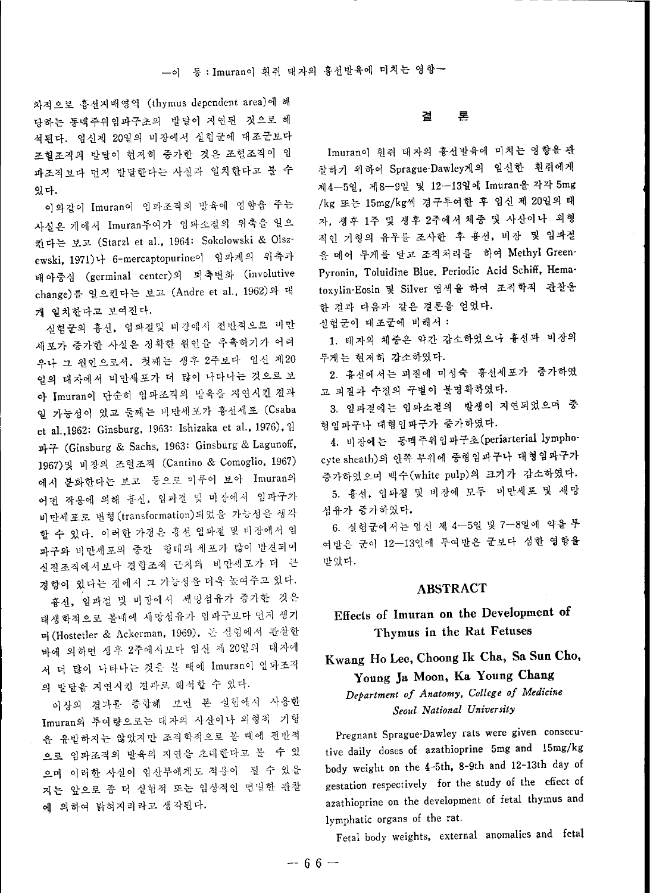차적으로 홍선지배영역 (thymus dependent area)에 해 당하는 동맥주위임파구초의 발달이 지연된 것으로 해 석된다. 임신제 20일의 비장에서 실험군에 대조군보다 조혈조직의 발달이 현저히 중가한 것은 조혈조직이 임 파조직보다 먼저 발달한다는 사실과 일치한다고 볼 수 있다.

이와같이 Imuran이 임파조직의 발육에 영향을 주는 사실은 개에서 Imuran투여가 임파소절의 위축을 일으 킨다는 보고 (Starzl et al., 1964: Sokolowski & Olszewski, 1971)나 6-mercaptopurine이 임파계의 위축과 배아중심 (germinal center)의 퇴축변화 (involutive change)를 일으킨다는 보고 (Andre et al., 1962)와 대 개 일치한다고 보여진다.

실험군의 흉선, 임파절및 비장에서 전반적으로 비만 세포가 중가한 사실은 정확한 원인을 추측하기가 어려 우나 그 원인으로서, 첫째는 생후 2주보다 임신 제20 일의 태자에서 비만세포가 더 많이 나타나는 것으로 보 아 Imuran이 단순히 임파조직의 발육을 지연시킨 결과 일 가능성이 있고 둘째는 비만세포가 흉선세포 (Csaba et al., 1962: Ginsburg, 1963: Ishizaka et al., 1976), 일 파구 (Ginsburg & Sachs, 1963: Ginsburg & Lagunoff, 1967)및 비장의 조혈조직 (Cantino & Comoglio, 1967) 에서 분화한다는 보고 등으로 미루어 보아 Imuran의 어떤 작용에 의해 홍선, 임파절 및 비장에서 임파구가 비만세포로 변형(transformation)되었을 가능성을 생각 할 수 있다. 이러한 가정은 흉선 임파절 및 비장에서 임 파구와 비만세포의 중간 형태의 세포가 많이 발견되며 실질조직에서보다 결합조직 근처의 비만세포가 더 큰 경향이 있다는 점에서 그 가능성을 더욱 높여주고 있다.

흉선, 임파절 및 비장에서 세망섬유가 증가한 것은 태생학적으로 볼때에 세망섬유가 임파구보다 먼저 생기 며 (Hostetler & Ackerman, 1969), 본 실험에서 관찰한 바에 의하면 생후 2주에서보다 임신 제 20일의 태자에 서 더 많이 나타나는 것을 볼 때에 Imuran이 임파조직 의 발달을 지연시킨 결과로 해석할 수 있다.

이상의 결과를 종합해 보면 본 실험에서 사용한 Imuran의 투여량으로는 태자의 사산이나 외형적 기형 올 유발하지는 않았지만 조직학적으로 볼 때에 전반적 으로 임파조직의 발육의 지연을 초대한다고 볼 수 있 으며 이러한 사실이 임산부에게도 적용이 될 수 있을 지는 앞으로 좀 더 실험적 또는 임상적인 면밀한 관찰 에 의하여 밝혀지리라고 생각된다.

#### 결 론

Imuran이 흰쥐 대자의 흉선발육에 미치는 영향을 관 찰하기 위하여 Sprague-Dawley계의 임신한 횐쥐에게 제4-5일, 제8-9일 및 12-13일에 Imuran을 각각 5mg /kg 또는 15mg/kg씩 경구투여한 후 임신 제 20일의 태 자, 생후 1주 및 생후 2주에서 체중 및 사산이나 외형 적인 기형의 유무를 조사한 후 흉선, 비장 및 임파절 을 떼어 무게를 달고 조직처리를 하여 Methyl Green-Pyronin, Toluidine Blue, Periodic Acid Schiff, Hematoxylin-Eosin 및 Silver 염색을 하여 조직학적 관찰을 한 결과 다음과 같은 결론을 얻었다.

실험군이 대조군에 비해서 :

1. 태자의 체중은 약간 감소하였으나 흉선과 비장의 무게는 현저히 감소하였다.

2. 흉선에서는 피질에 미성숙 흉선세포가 중가하였 고 피질과 수질의 구별이 불명확하였다.

3. 임파절에는 임파소절의 발생이 지연되었으며 중 형임파구나 대형임파구가 중가하였다.

4. 비장에는 동맥주위임파구초(periarterial lymphocyte sheath)의 안쪽 부위에 중형임파구나 대형임파구가 증가하였으며 백수(white pulp)의 크기가 감소하였다. 5. 흉선, 임파절 및 비장에 모두 비만세포 및 세망 섬유가 증가하였다.

6. 실험군에서는 임신 제 4-5일 및 7-8일에 약을 투 여받은 군이 12-13일에 투여받은 군보다 심한 영향을 받았다.

### **ABSTRACT**

## Effects of Imuran on the Development of Thymus in the Rat Fetuses

## Kwang Ho Lee, Choong Ik Cha, Sa Sun Cho, Young Ja Moon, Ka Young Chang Department of Anatomy, College of Medicine Seoul National University

Pregnant Sprague-Dawley rats were given consecutive daily doses of azathioprine 5mg and 15mg/kg body weight on the 4-5th, 8-9th and 12-13th day of gestation respectively for the study of the effect of azathioprine on the development of fetal thymus and lymphatic organs of the rat.

Fetal body weights, external anomalies and fetal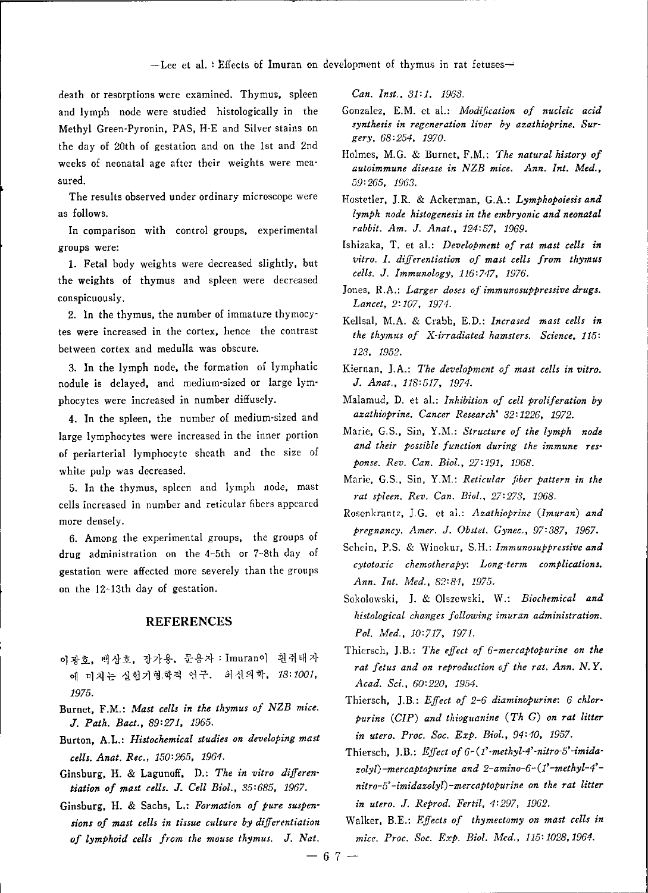$-$ Lee et al. : Effects of Imuran on development of thymus in rat fetuses $-$ 

death or resorptions were examined. Thymus, spleen and lymph node were studied histologically in the Methyl Green-Pyronin, PAS, H-E and Silver stains on the day of 20th of gestation and on the Ist and 2nd **weeks of neonatal age after their weights were mea**sured.

**The results observed under ordinary microscope were** as follows.

**In comparison with control groups, experimental groups were:**

1. Fetal body weights were decreased slightly, but the weights of thymus and spleen were decreased conspicuously.

2. In the thymus, the number of immature thyrnocy**tes were increased in the cortex, hence the contrast** between cortex and medulla was obscure.

3. In the lymph node, the formation of lymphatic nodule is delayed, and medium-sized or large lymphocytes were increased in number diffusely.

4. In the spleen, the number of medium-sized and large lymphocytes were increased in the inner portion of periarterial lymphocyte sheath and the *size* of white pulp was decreased.

5. In the thymus, spleen and lymph node, mast **cells increased in number and reticular fibers appeared more densely.**

6. Among the experimental groups, the groups of drug administration on the 4-5th or 7-8th day of **gestation were affected more severely than the groups** on the l2-13th day of gestation.

### **REFERENCES**

- **이광호, 백상호, 장가용, 문용자 : Imuran이 흰쥐태자** 에 미치는 실험기형학적 연구. 최신의학, 18:1001, 1975.
- Burnet, F.M.: *Mast cells in the thymus of NZB mice.* J. *Path. Bact.,* 89:271, 1965.
- **Burton, A. L.:** *Histochemical studies on developing mast cells. Anat. Rec., 150:265, 1964.*
- Ginsburg, H. & Lagunoff, D.: *The in vitro differen· tiation of mast cells.* J. *Cell Bioi.,* 35:685, 1967.
- Ginsburg, H. & Sachs, L.: *Formation of pure suspensions of mast cells in tissue culture by differentiation of lymphoid cells from the mouse thymus.* J. *Nat.*

*Can. Inst.,* 31:1, 1963.

- *Gonzalez,* E.M. et al.: *Modification of nucleic acid synthesis in regeneration liver by azathioprine. Surgery,* 68:254, *1970.*
- Holmes, M.G. & Burnet, F.M.: *The natural history of autoimmune disease in NZB mice. Ann. Int. Med.,* 59:265, 1963.
- Hostetler, J.R. & Ackerman, G.A.: *Lymphopoiesis and lymph node histogenesis in the embryonic and neonatal rabbit. Am.* J. *Anat.,* 124:57, 1969.
- lshizaka, T. et al.: *Development of rat mast cells in vitro.* **I.** *differentiation 0/ mast cells from thymus cells. J. Immunology,* 116:747, 1976.
- **Jones, R.A.:** *Larger doses of immunosuppressive drugs. Lancet,* 2: *107, 1971.*
- Kellsal, M.A. & Crabb, E.D.: *Incrased mast cells in the thymus of X-irradiated hamsters. Science, 115:* 123, 1952.
- Kiernan, J.A.: *The development of mast eells in vitro.* J. *Anat.,* 118:517, 1974.
- Malamud, D. et al.: *Inhibition of cell proliferation by azathioprine. Cancer Research'* 32: 1226, 1972.
- Marie, G.S., Sin, Y.M.: *Structure of the lymph node and their possible function during the immune response. Rev. Can. Bioi.,* 27: 191, 1968.
- Marie, G.S., Sin, Y.M.: *Reticular fiber pattern in the rat spleen. Rev. Can. Bioi.,* 27:273, 1968.
- Rosenkrantz, J.G. et al.: *Azathioprine CImuran) and pregnancy. Amer.* J. *Obstet. Gvnec.,* 97: 387, 1967.
- Schein, P.S. & Winokur, S.H.: *Immunosuppressive and cytotoxic chemotherapy: Long-term complications.* Ann. Int. Med., 82:84, 1975.
- Sokolowski, J. & Olszewski, W.: *Biochemical and histological changes following imuran administration. Pol. Med., 10:717, 1971.*
- Thiersch, J.B.: The effect of 6-mercaptopurine on the *rat fetus and on reproduction of the rat. Ann. N. Y. Acad. Sci., 60:220, 1954.*
- Thiersch, J.B.: *Effect of* 2-6 *diaminopurine*: 6 *chlorpurine (CI P) and thioguanine (Th* G) *on rat litter in utero. Proc. Soc. Exp. Biol., 94:40, 1957.*
- Thiersch, J.B.: *Effect of* 6- (1' *-methyl-4' -nitro-b' -imidazolyl) «mercaptopurine and 2-amino-6-*(1'*-methyZ-4' nitro-5'-imidazolyl)-mercaptopurine on the rat litter in utero.* J. *Reprod. Fertil,* 4:297, 1962.
- Walker, RE.: *Effects of thymectomy on mast cells in mice. Proc. Soc. Exp. Bioi. Med.,* 115: *1028,1964.*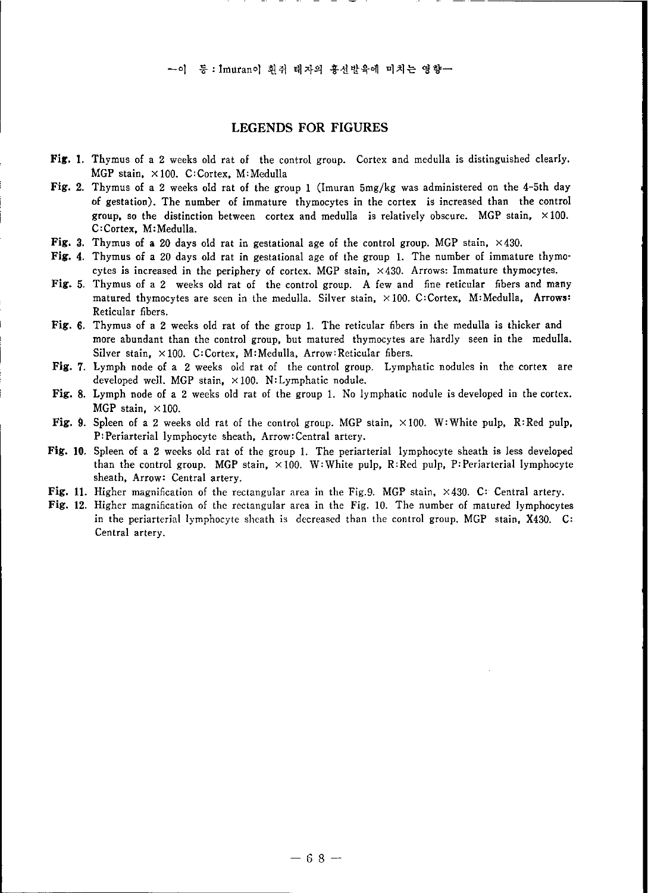ㅡ이 등 : Imuran이 횐쥐 태자의 흉선발육에 미치는 영향ㅡ

### **LEGENDS FOR FIGURES**

- Fig. 1. Thymus of a 2 weeks old rat of the control group. Cortex and medulla is distinguished clearly. MGP stain, ×100. C:Cortex, M:Medulla
- Fig. 2. Thymus of a 2 weeks old rat of the group 1 (Imuran 5mg/kg was administered on the 4-5th day of gestation). The number of immature thymocytes in the cortex is increased than the control group, so the distinction between cortex and medulla is relatively obscure. MGP stain,  $\times 100$ . C:Cortex, M:Medulla.
- Fig. 3. Thymus of a 20 days old rat in gestational age of the control group. MGP stain,  $\times$ 430.
- Fig. 4. Thymus of a 20 days old rat in gestational age of the group 1. The number of immature thymocytes is increased in the periphery of cortex. MGP stain,  $\times$ 430. Arrows: Immature thymocytes.
- Fig. 5. Thymus of a 2 weeks old rat of the control group. A few and fine reticular fibers and many matured thymocytes are seen in the medulla. Silver stain,  $\times 100$ . C:Cortex, M:Medulla, Arrows: Reticular fibers.
- Fig. 6. Thymus of a 2 weeks old rat of the group 1. The reticular fibers in the medulla is thicker and more abundant than the control group, but matured thymocytes are hardly seen in the medulla. Silver stain, ×100. C:Cortex, M:Medulla, Arrow:Reticular fibers.
- Fig. 7. Lymph node of a 2 weeks old rat of the control group. Lymphatic nodules in the cortex are developed well. MGP stain,  $\times 100$ . N: Lymphatic nodule.
- Fig. 8. Lymph node of a 2 weeks old rat of the group 1. No lymphatic nodule is developed in the cortex. MGP stain,  $\times 100$ .
- Fig. 9. Spleen of a 2 weeks old rat of the control group. MGP stain,  $\times 100$ . W: White pulp, R: Red pulp, P: Periarterial lymphocyte sheath, Arrow: Central artery.
- Fig. 10. Spleen of a 2 weeks old rat of the group 1. The periarterial lymphocyte sheath is less developed than the control group. MGP stain,  $\times 100$ . W: White pulp, R: Red pulp, P: Periarterial lymphocyte sheath, Arrow: Central artery.
- Fig. 11. Higher magnification of the rectangular area in the Fig.9. MGP stain,  $\times$  430. C: Central artery.
- Fig. 12. Higher magnification of the rectangular area in the Fig. 10. The number of matured lymphocytes in the periarterial lymphocyte sheath is decreased than the control group. MGP stain, X430. C: Central artery.